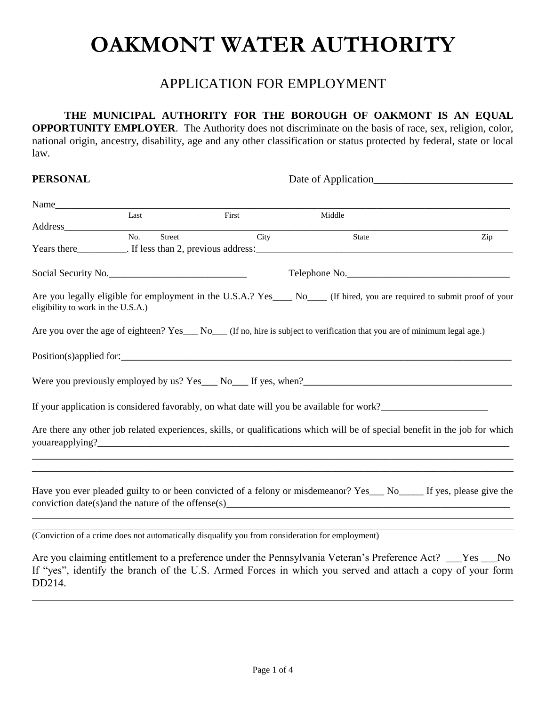# **OAKMONT WATER AUTHORITY**

## APPLICATION FOR EMPLOYMENT

**THE MUNICIPAL AUTHORITY FOR THE BOROUGH OF OAKMONT IS AN EQUAL OPPORTUNITY EMPLOYER**. The Authority does not discriminate on the basis of race, sex, religion, color, national origin, ancestry, disability, age and any other classification or status protected by federal, state or local law.

### **PERSONAL** Date of Application\_\_\_\_\_\_\_\_\_\_\_\_\_\_\_\_\_\_\_\_\_\_\_\_\_\_

| Name                               |                            |                                                                                                 |                                                                                                                                                                                          |     |
|------------------------------------|----------------------------|-------------------------------------------------------------------------------------------------|------------------------------------------------------------------------------------------------------------------------------------------------------------------------------------------|-----|
|                                    | Last                       | First                                                                                           | Middle                                                                                                                                                                                   |     |
|                                    | $\overline{No.}$<br>Street | City                                                                                            | State                                                                                                                                                                                    | Zip |
|                                    |                            |                                                                                                 |                                                                                                                                                                                          |     |
|                                    | Social Security No.        |                                                                                                 | Telephone No.                                                                                                                                                                            |     |
| eligibility to work in the U.S.A.) |                            |                                                                                                 | Are you legally eligible for employment in the U.S.A.? Yes____ No____ (If hired, you are required to submit proof of your                                                                |     |
|                                    |                            |                                                                                                 | Are you over the age of eighteen? Yes___ No___ (If no, hire is subject to verification that you are of minimum legal age.)                                                               |     |
|                                    |                            |                                                                                                 | $Position(s)$ applied for:                                                                                                                                                               |     |
|                                    |                            |                                                                                                 | Were you previously employed by us? $Yes_$ No $_$ If yes, when?                                                                                                                          |     |
|                                    |                            |                                                                                                 | If your application is considered favorably, on what date will you be available for work?                                                                                                |     |
|                                    |                            |                                                                                                 | Are there any other job related experiences, skills, or qualifications which will be of special benefit in the job for which                                                             |     |
|                                    |                            |                                                                                                 | Have you ever pleaded guilty to or been convicted of a felony or misdemeanor? Yes___ No____ If yes, please give the<br>$\frac{1}{2}$ conviction date(s) and the nature of the offense(s) |     |
|                                    |                            | (Conviction of a crime does not automatically disqualify you from consideration for employment) |                                                                                                                                                                                          |     |
|                                    |                            |                                                                                                 | $\Delta$ re vou claiming entitlement to a preference under the Pennsylvania Veteran's Preference $\Delta ct$ ? Ves $\Delta$                                                              |     |

laiming entitlement to a preference under the Pennsylvania Veteran's Preference Act? \_ If "yes", identify the branch of the U.S. Armed Forces in which you served and attach a copy of your form DD214.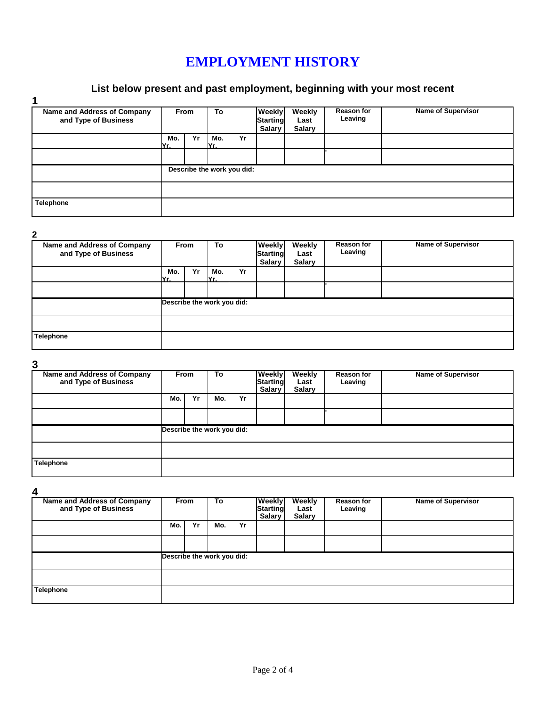## **EMPLOYMENT HISTORY**

## **List below present and past employment, beginning with your most recent**

| Name and Address of Company<br>and Type of Business | <b>From</b> |    | To          |                            | <b>Weekly</b><br><b>Starting</b><br>Salary | Weekly<br>Last<br><b>Salary</b> | <b>Reason for</b><br>Leaving | <b>Name of Supervisor</b> |
|-----------------------------------------------------|-------------|----|-------------|----------------------------|--------------------------------------------|---------------------------------|------------------------------|---------------------------|
|                                                     | Mo.<br>IYr. | Yr | Mo.<br>IYr. | Yr                         |                                            |                                 |                              |                           |
|                                                     |             |    |             |                            |                                            |                                 |                              |                           |
|                                                     |             |    |             | Describe the work you did: |                                            |                                 |                              |                           |
|                                                     |             |    |             |                            |                                            |                                 |                              |                           |
| <b>Telephone</b>                                    |             |    |             |                            |                                            |                                 |                              |                           |

**2**

| Name and Address of Company<br>and Type of Business | <b>From</b>                |    | To          |    | Weekly<br><b>Starting</b><br>Salary | Weekly<br>Last<br><b>Salary</b> | <b>Reason for</b><br>Leaving | Name of Supervisor |
|-----------------------------------------------------|----------------------------|----|-------------|----|-------------------------------------|---------------------------------|------------------------------|--------------------|
|                                                     | Mo.<br>IYr.                | Yr | Mo.<br>IYr. | Yr |                                     |                                 |                              |                    |
|                                                     |                            |    |             |    |                                     |                                 |                              |                    |
|                                                     | Describe the work you did: |    |             |    |                                     |                                 |                              |                    |
|                                                     |                            |    |             |    |                                     |                                 |                              |                    |
| Telephone                                           |                            |    |             |    |                                     |                                 |                              |                    |

**3**

| ື                                                   |                            |    |     |    |                                     |                                 |                              |                           |
|-----------------------------------------------------|----------------------------|----|-----|----|-------------------------------------|---------------------------------|------------------------------|---------------------------|
| Name and Address of Company<br>and Type of Business | <b>From</b>                |    | To  |    | Weekly<br><b>Starting</b><br>Salary | Weekly<br>Last<br><b>Salary</b> | <b>Reason for</b><br>Leaving | <b>Name of Supervisor</b> |
|                                                     | Mo.                        | Yr | Mo. | Yr |                                     |                                 |                              |                           |
|                                                     |                            |    |     |    |                                     |                                 |                              |                           |
|                                                     | Describe the work you did: |    |     |    |                                     |                                 |                              |                           |
|                                                     |                            |    |     |    |                                     |                                 |                              |                           |
| <b>Telephone</b>                                    |                            |    |     |    |                                     |                                 |                              |                           |

**4**

| Name and Address of Company<br>and Type of Business | <b>From</b>                |    | To  |    | Weekly<br><b>Starting</b><br>Salary | Weekly<br>Last<br><b>Salary</b> | <b>Reason for</b><br>Leaving | <b>Name of Supervisor</b> |
|-----------------------------------------------------|----------------------------|----|-----|----|-------------------------------------|---------------------------------|------------------------------|---------------------------|
|                                                     | Mo.                        | Yr | Mo. | Yr |                                     |                                 |                              |                           |
|                                                     |                            |    |     |    |                                     |                                 |                              |                           |
|                                                     | Describe the work you did: |    |     |    |                                     |                                 |                              |                           |
|                                                     |                            |    |     |    |                                     |                                 |                              |                           |
| <b>Telephone</b>                                    |                            |    |     |    |                                     |                                 |                              |                           |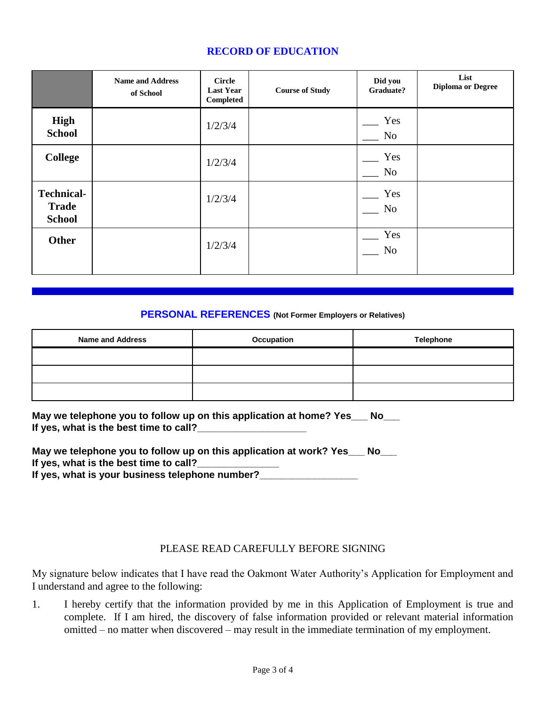## **RECORD OF EDUCATION**

|                                                    | <b>Name and Address</b><br>of School | <b>Circle</b><br><b>Last Year</b><br><b>Completed</b> | <b>Course of Study</b> | Did you<br>Graduate?  | List<br><b>Diploma or Degree</b> |
|----------------------------------------------------|--------------------------------------|-------------------------------------------------------|------------------------|-----------------------|----------------------------------|
| High<br><b>School</b>                              |                                      | 1/2/3/4                                               |                        | Yes<br>No             |                                  |
| <b>College</b>                                     |                                      | 1/2/3/4                                               |                        | Yes<br>No             |                                  |
| <b>Technical-</b><br><b>Trade</b><br><b>School</b> |                                      | 1/2/3/4                                               |                        | Yes<br>N <sub>o</sub> |                                  |
| <b>Other</b>                                       |                                      | 1/2/3/4                                               |                        | Yes<br>No             |                                  |

#### **PERSONAL REFERENCES (Not Former Employers or Relatives)**

| <b>Name and Address</b> | Occupation | <b>Telephone</b> |
|-------------------------|------------|------------------|
|                         |            |                  |
|                         |            |                  |
|                         |            |                  |

**May we telephone you to follow up on this application at home? Yes\_\_\_ No\_\_\_** If yes, what is the best time to call?

| May we telephone you to follow up on this application at work? Yes | No l |
|--------------------------------------------------------------------|------|
| If yes, what is the best time to call?                             |      |
| If yes, what is your business telephone number?                    |      |

#### PLEASE READ CAREFULLY BEFORE SIGNING

My signature below indicates that I have read the Oakmont Water Authority's Application for Employment and I understand and agree to the following:

1. I hereby certify that the information provided by me in this Application of Employment is true and complete. If I am hired, the discovery of false information provided or relevant material information omitted – no matter when discovered – may result in the immediate termination of my employment.